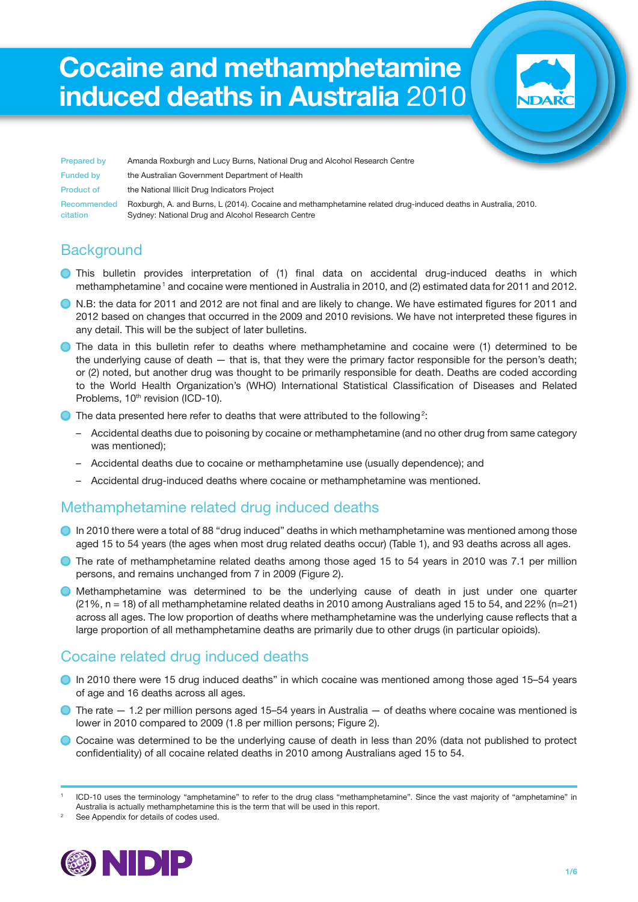# Cocaine and methamphetamine induced deaths in Australia 2010

Prepared by Amanda Roxburgh and Lucy Burns, National Drug and Alcohol Research Centre Funded by the Australian Government Department of Health Product of the National Illicit Drug Indicators Project Recommended Roxburgh, A. and Burns, L (2014). Cocaine and methamphetamine related drug-induced deaths in Australia, 2010. citation Sydney: National Drug and Alcohol Research Centre

## **Background**

- **•** This bulletin provides interpretation of (1) final data on accidental drug-induced deaths in which methamphetamine<sup>1</sup> and cocaine were mentioned in Australia in 2010, and (2) estimated data for 2011 and 2012.
- N.B: the data for 2011 and 2012 are not final and are likely to change. We have estimated figures for 2011 and 2012 based on changes that occurred in the 2009 and 2010 revisions. We have not interpreted these figures in any detail. This will be the subject of later bulletins.
- **•** The data in this bulletin refer to deaths where methamphetamine and cocaine were (1) determined to be the underlying cause of death — that is, that they were the primary factor responsible for the person's death; or (2) noted, but another drug was thought to be primarily responsible for death. Deaths are coded according to the World Health Organization's (WHO) International Statistical Classification of Diseases and Related Problems, 10<sup>th</sup> revision (ICD-10).
- $\bullet$  The data presented here refer to deaths that were attributed to the following<sup>2</sup>:
	- Accidental deaths due to poisoning by cocaine or methamphetamine (and no other drug from same category was mentioned);
	- Accidental deaths due to cocaine or methamphetamine use (usually dependence); and
	- Accidental drug-induced deaths where cocaine or methamphetamine was mentioned.

#### Methamphetamine related drug induced deaths

- **•** In 2010 there were a total of 88 "drug induced" deaths in which methamphetamine was mentioned among those aged 15 to 54 years (the ages when most drug related deaths occur) (Table 1), and 93 deaths across all ages.
- **•** The rate of methamphetamine related deaths among those aged 15 to 54 years in 2010 was 7.1 per million persons, and remains unchanged from 7 in 2009 (Figure 2).
- Methamphetamine was determined to be the underlying cause of death in just under one quarter (21%, n = 18) of all methamphetamine related deaths in 2010 among Australians aged 15 to 54, and 22% (n=21) across all ages. The low proportion of deaths where methamphetamine was the underlying cause reflects that a large proportion of all methamphetamine deaths are primarily due to other drugs (in particular opioids).

#### Cocaine related drug induced deaths

- **•** In 2010 there were 15 drug induced deaths" in which cocaine was mentioned among those aged 15–54 years of age and 16 deaths across all ages.
- $\bullet$  The rate  $-$  1.2 per million persons aged 15–54 years in Australia  $-$  of deaths where cocaine was mentioned is lower in 2010 compared to 2009 (1.8 per million persons; Figure 2).
- Cocaine was determined to be the underlying cause of death in less than 20% (data not published to protect confidentiality) of all cocaine related deaths in 2010 among Australians aged 15 to 54.

See Appendix for details of codes used.



<sup>1</sup> ICD-10 uses the terminology "amphetamine" to refer to the drug class "methamphetamine". Since the vast majority of "amphetamine" in Australia is actually methamphetamine this is the term that will be used in this report.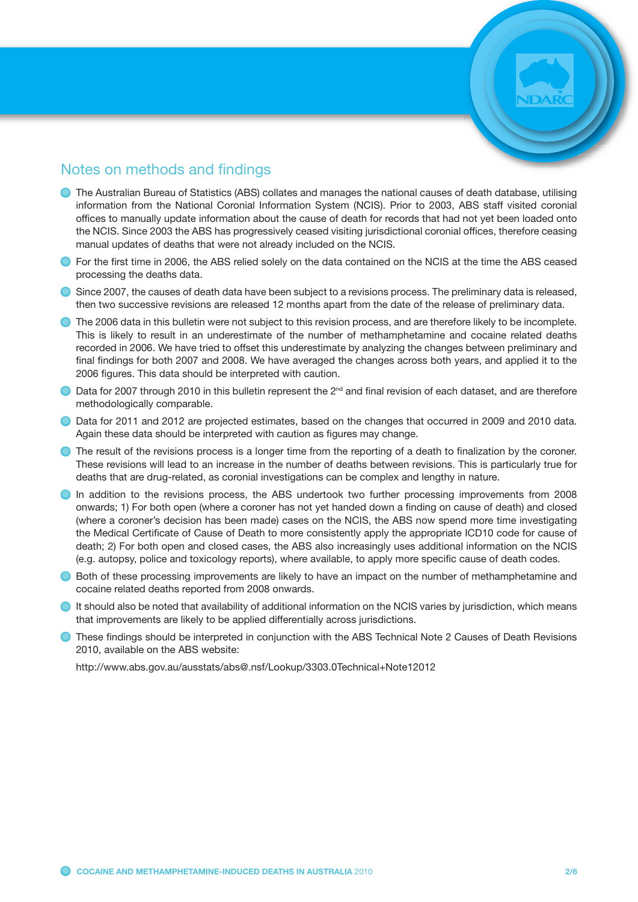#### Notes on methods and findings

- **•** The Australian Bureau of Statistics (ABS) collates and manages the national causes of death database, utilising information from the National Coronial Information System (NCIS). Prior to 2003, ABS staff visited coronial offices to manually update information about the cause of death for records that had not yet been loaded onto the NCIS. Since 2003 the ABS has progressively ceased visiting jurisdictional coronial offices, therefore ceasing manual updates of deaths that were not already included on the NCIS.
- **•** For the first time in 2006, the ABS relied solely on the data contained on the NCIS at the time the ABS ceased processing the deaths data.

**•** Since 2007, the causes of death data have been subject to a revisions process. The preliminary data is released, then two successive revisions are released 12 months apart from the date of the release of preliminary data.

- **The 2006 data in this bulletin were not subject to this revision process, and are therefore likely to be incomplete.** This is likely to result in an underestimate of the number of methamphetamine and cocaine related deaths recorded in 2006. We have tried to offset this underestimate by analyzing the changes between preliminary and final findings for both 2007 and 2008. We have averaged the changes across both years, and applied it to the 2006 figures. This data should be interpreted with caution.
- $\bullet$  Data for 2007 through 2010 in this bulletin represent the 2<sup>nd</sup> and final revision of each dataset, and are therefore methodologically comparable.
- Data for 2011 and 2012 are projected estimates, based on the changes that occurred in 2009 and 2010 data. Again these data should be interpreted with caution as figures may change.
- The result of the revisions process is a longer time from the reporting of a death to finalization by the coroner. These revisions will lead to an increase in the number of deaths between revisions. This is particularly true for deaths that are drug-related, as coronial investigations can be complex and lengthy in nature.
- In addition to the revisions process, the ABS undertook two further processing improvements from 2008 onwards; 1) For both open (where a coroner has not yet handed down a finding on cause of death) and closed (where a coroner's decision has been made) cases on the NCIS, the ABS now spend more time investigating the Medical Certificate of Cause of Death to more consistently apply the appropriate ICD10 code for cause of death; 2) For both open and closed cases, the ABS also increasingly uses additional information on the NCIS (e.g. autopsy, police and toxicology reports), where available, to apply more specific cause of death codes.
- **•** Both of these processing improvements are likely to have an impact on the number of methamphetamine and cocaine related deaths reported from 2008 onwards.
- $\bullet$  It should also be noted that availability of additional information on the NCIS varies by jurisdiction, which means that improvements are likely to be applied differentially across jurisdictions.
- **These findings should be interpreted in conjunction with the ABS Technical Note 2 Causes of Death Revisions** 2010, available on the ABS website:

http://www.abs.gov.au/ausstats/abs@.nsf/Lookup/3303.0Technical+Note12012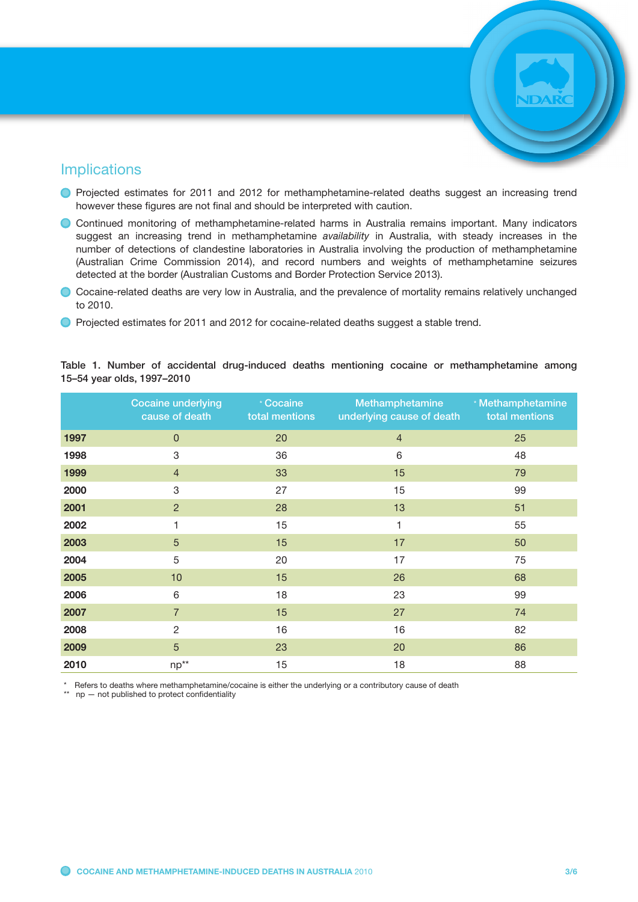#### Implications

- Projected estimates for 2011 and 2012 for methamphetamine-related deaths suggest an increasing trend however these figures are not final and should be interpreted with caution.
- Continued monitoring of methamphetamine-related harms in Australia remains important. Many indicators suggest an increasing trend in methamphetamine *availability* in Australia, with steady increases in the number of detections of clandestine laboratories in Australia involving the production of methamphetamine (Australian Crime Commission 2014), and record numbers and weights of methamphetamine seizures detected at the border (Australian Customs and Border Protection Service 2013).
- Cocaine-related deaths are very low in Australia, and the prevalence of mortality remains relatively unchanged to 2010.
- Projected estimates for 2011 and 2012 for cocaine-related deaths suggest a stable trend.

|      | <b>Cocaine underlying</b><br>cause of death | * Cocaine<br>total mentions | Methamphetamine<br>underlying cause of death | * Methamphetamine<br>total mentions |
|------|---------------------------------------------|-----------------------------|----------------------------------------------|-------------------------------------|
| 1997 | $\mathbf 0$                                 | 20                          | $\overline{4}$                               | 25                                  |
| 1998 | $\ensuremath{\mathsf{3}}$                   | 36                          | 6                                            | 48                                  |
| 1999 | $\overline{4}$                              | 33                          | 15                                           | 79                                  |
| 2000 | $\ensuremath{\mathsf{3}}$                   | 27                          | 15                                           | 99                                  |
| 2001 | $\overline{2}$                              | 28                          | 13                                           | 51                                  |
| 2002 | 1                                           | 15                          | 1                                            | 55                                  |
| 2003 | $\overline{5}$                              | 15                          | 17                                           | 50                                  |
| 2004 | 5                                           | 20                          | 17                                           | 75                                  |
| 2005 | 10                                          | 15                          | 26                                           | 68                                  |
| 2006 | 6                                           | 18                          | 23                                           | 99                                  |
| 2007 | $\overline{7}$                              | 15                          | 27                                           | 74                                  |
| 2008 | $\overline{2}$                              | 16                          | 16                                           | 82                                  |
| 2009 | $\overline{5}$                              | 23                          | 20                                           | 86                                  |
| 2010 | $np^{**}$                                   | 15                          | 18                                           | 88                                  |

Table 1. Number of accidental drug-induced deaths mentioning cocaine or methamphetamine among 15–54 year olds, 1997–2010

Refers to deaths where methamphetamine/cocaine is either the underlying or a contributory cause of death

\*\* np — not published to protect confidentiality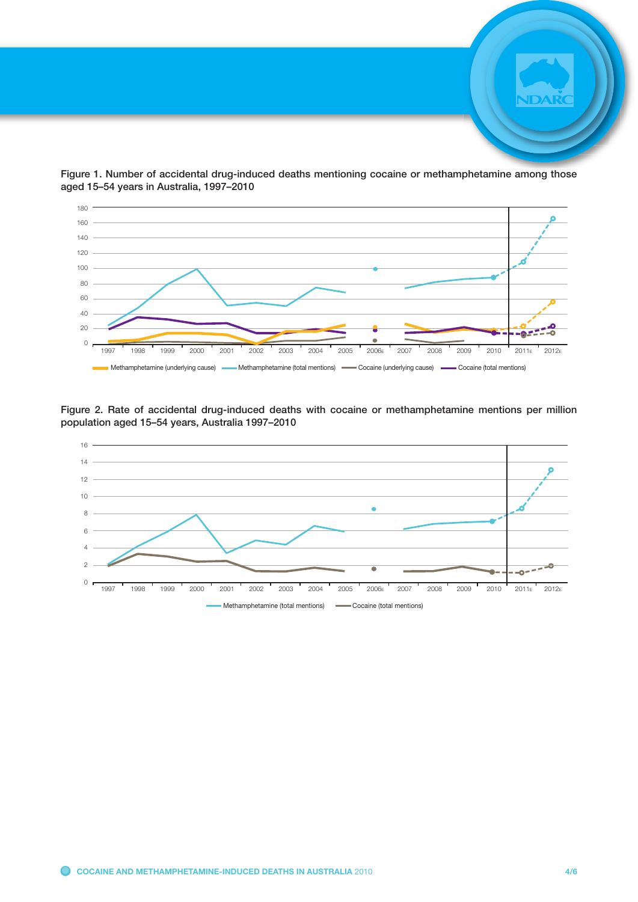

Figure 1. Number of accidental drug-induced deaths mentioning cocaine or methamphetamine among those aged 15–54 years in Australia, 1997–2010



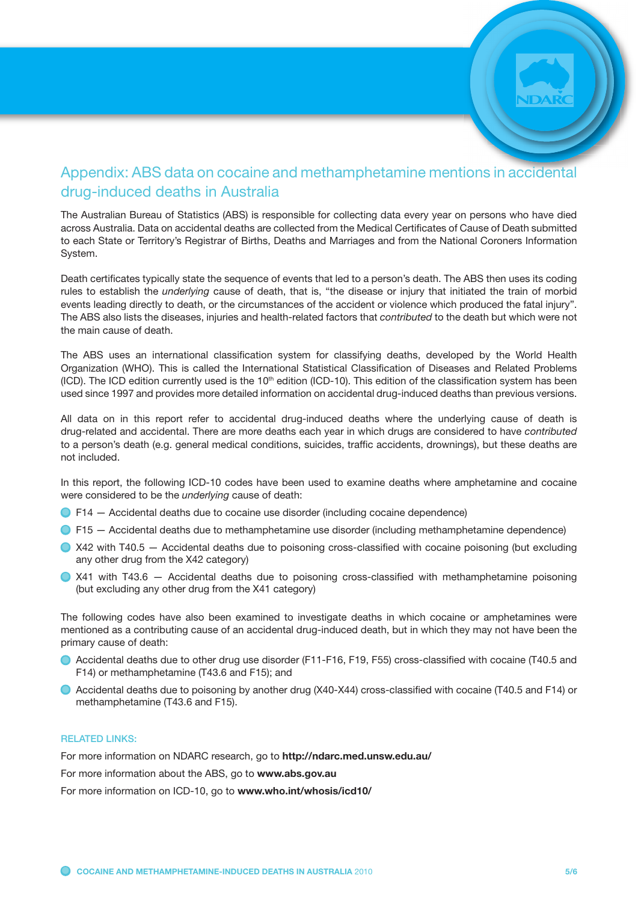### Appendix: ABS data on cocaine and methamphetamine mentions in accidental drug-induced deaths in Australia

The Australian Bureau of Statistics (ABS) is responsible for collecting data every year on persons who have died across Australia. Data on accidental deaths are collected from the Medical Certificates of Cause of Death submitted to each State or Territory's Registrar of Births, Deaths and Marriages and from the National Coroners Information System.

Death certificates typically state the sequence of events that led to a person's death. The ABS then uses its coding rules to establish the *underlying* cause of death, that is, "the disease or injury that initiated the train of morbid events leading directly to death, or the circumstances of the accident or violence which produced the fatal injury". The ABS also lists the diseases, injuries and health-related factors that *contributed* to the death but which were not the main cause of death.

The ABS uses an international classification system for classifying deaths, developed by the World Health Organization (WHO). This is called the International Statistical Classification of Diseases and Related Problems  $(ICD)$ . The ICD edition currently used is the  $10<sup>th</sup>$  edition  $(ICD-10)$ . This edition of the classification system has been used since 1997 and provides more detailed information on accidental drug-induced deaths than previous versions.

All data on in this report refer to accidental drug-induced deaths where the underlying cause of death is drug-related and accidental. There are more deaths each year in which drugs are considered to have *contributed* to a person's death (e.g. general medical conditions, suicides, traffic accidents, drownings), but these deaths are not included.

In this report, the following ICD-10 codes have been used to examine deaths where amphetamine and cocaine were considered to be the *underlying* cause of death:

- F14 Accidental deaths due to cocaine use disorder (including cocaine dependence)
- **•** F15 Accidental deaths due to methamphetamine use disorder (including methamphetamine dependence)
- X42 with T40.5 Accidental deaths due to poisoning cross-classified with cocaine poisoning (but excluding any other drug from the X42 category)
- $\bullet$  X41 with T43.6 Accidental deaths due to poisoning cross-classified with methamphetamine poisoning (but excluding any other drug from the X41 category)

The following codes have also been examined to investigate deaths in which cocaine or amphetamines were mentioned as a contributing cause of an accidental drug-induced death, but in which they may not have been the primary cause of death:

- Accidental deaths due to other drug use disorder (F11-F16, F19, F55) cross-classified with cocaine (T40.5 and F14) or methamphetamine (T43.6 and F15); and
- Accidental deaths due to poisoning by another drug (X40-X44) cross-classified with cocaine (T40.5 and F14) or methamphetamine (T43.6 and F15).

#### RELATED LINKS:

For more information on NDARC research, go to http://ndarc.med.unsw.edu.au/

For more information about the ABS, go to www.abs.gov.au

For more information on ICD-10, go to www.who.int/whosis/icd10/